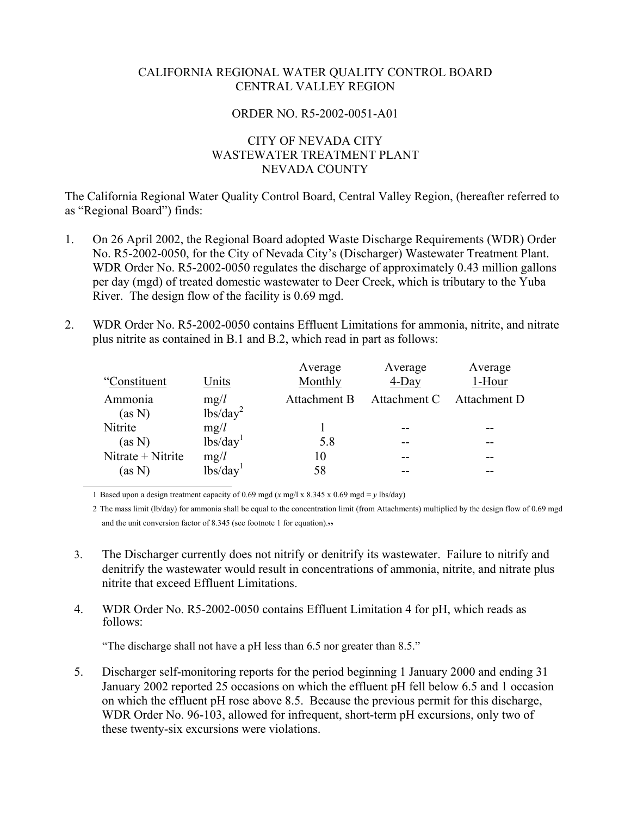## CALIFORNIA REGIONAL WATER QUALITY CONTROL BOARD CENTRAL VALLEY REGION

## ORDER NO. R5-2002-0051-A01

## CITY OF NEVADA CITY WASTEWATER TREATMENT PLANT NEVADA COUNTY

The California Regional Water Quality Control Board, Central Valley Region, (hereafter referred to as "Regional Board") finds:

- 1. On 26 April 2002, the Regional Board adopted Waste Discharge Requirements (WDR) Order No. R5-2002-0050, for the City of Nevada City's (Discharger) Wastewater Treatment Plant. WDR Order No. R5-2002-0050 regulates the discharge of approximately 0.43 million gallons per day (mgd) of treated domestic wastewater to Deer Creek, which is tributary to the Yuba River. The design flow of the facility is 0.69 mgd.
- 2. WDR Order No. R5-2002-0050 contains Effluent Limitations for ammonia, nitrite, and nitrate plus nitrite as contained in B.1 and B.2, which read in part as follows:

|                     |                                             | Average      | Average      | Average      |
|---------------------|---------------------------------------------|--------------|--------------|--------------|
| "Constituent        | Units                                       | Monthly      | $4$ -Day     | 1-Hour       |
| Ammonia             | mg/l                                        | Attachment B | Attachment C | Attachment D |
| (as N)              | $\frac{1}{\text{bs}}\frac{1}{\text{day}^2}$ |              |              |              |
| Nitrite             | mg/l                                        |              |              |              |
| (as N)              | lbs/day <sup>1</sup>                        | 5.8          |              |              |
| Nitrate $+$ Nitrite | mg/l                                        | 10           |              |              |
| (as N)              | lbs/day <sup>1</sup>                        | 58           |              |              |

1 Based upon a design treatment capacity of 0.69 mgd ( $x$  mg/l x 8.345 x 0.69 mgd =  $y$  lbs/day)

2 The mass limit (lb/day) for ammonia shall be equal to the concentration limit (from Attachments) multiplied by the design flow of 0.69 mgd and the unit conversion factor of  $8.345$  (see footnote 1 for equation)."

- 3. The Discharger currently does not nitrify or denitrify its wastewater. Failure to nitrify and denitrify the wastewater would result in concentrations of ammonia, nitrite, and nitrate plus nitrite that exceed Effluent Limitations.
- 4. WDR Order No. R5-2002-0050 contains Effluent Limitation 4 for pH, which reads as follows:

"The discharge shall not have a pH less than 6.5 nor greater than 8.5."

5. Discharger self-monitoring reports for the period beginning 1 January 2000 and ending 31 January 2002 reported 25 occasions on which the effluent pH fell below 6.5 and 1 occasion on which the effluent pH rose above 8.5. Because the previous permit for this discharge, WDR Order No. 96-103, allowed for infrequent, short-term pH excursions, only two of these twenty-six excursions were violations.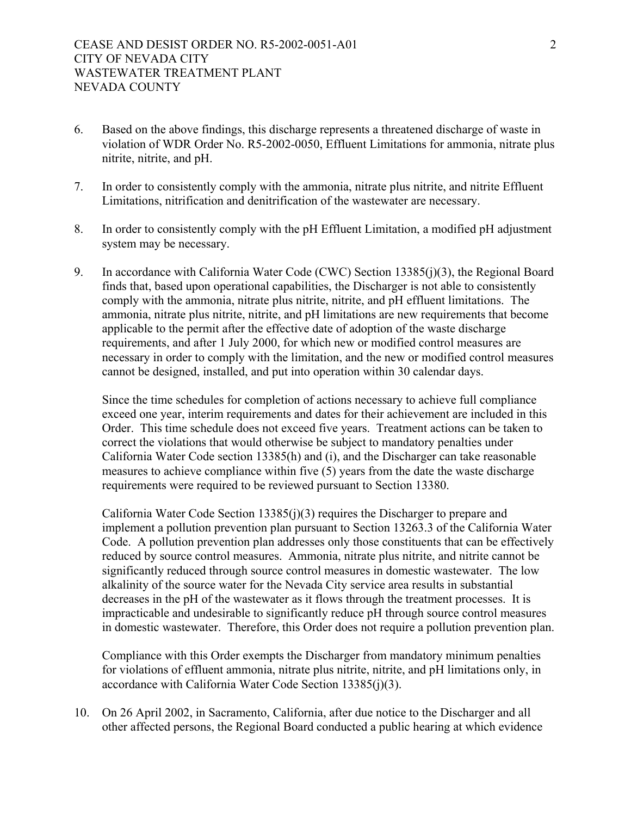- 6. Based on the above findings, this discharge represents a threatened discharge of waste in violation of WDR Order No. R5-2002-0050, Effluent Limitations for ammonia, nitrate plus nitrite, nitrite, and pH.
- 7. In order to consistently comply with the ammonia, nitrate plus nitrite, and nitrite Effluent Limitations, nitrification and denitrification of the wastewater are necessary.
- 8. In order to consistently comply with the pH Effluent Limitation, a modified pH adjustment system may be necessary.
- 9. In accordance with California Water Code (CWC) Section 13385(j)(3), the Regional Board finds that, based upon operational capabilities, the Discharger is not able to consistently comply with the ammonia, nitrate plus nitrite, nitrite, and pH effluent limitations. The ammonia, nitrate plus nitrite, nitrite, and pH limitations are new requirements that become applicable to the permit after the effective date of adoption of the waste discharge requirements, and after 1 July 2000, for which new or modified control measures are necessary in order to comply with the limitation, and the new or modified control measures cannot be designed, installed, and put into operation within 30 calendar days.

Since the time schedules for completion of actions necessary to achieve full compliance exceed one year, interim requirements and dates for their achievement are included in this Order. This time schedule does not exceed five years. Treatment actions can be taken to correct the violations that would otherwise be subject to mandatory penalties under California Water Code section 13385(h) and (i), and the Discharger can take reasonable measures to achieve compliance within five (5) years from the date the waste discharge requirements were required to be reviewed pursuant to Section 13380.

California Water Code Section 13385(j)(3) requires the Discharger to prepare and implement a pollution prevention plan pursuant to Section 13263.3 of the California Water Code. A pollution prevention plan addresses only those constituents that can be effectively reduced by source control measures. Ammonia, nitrate plus nitrite, and nitrite cannot be significantly reduced through source control measures in domestic wastewater. The low alkalinity of the source water for the Nevada City service area results in substantial decreases in the pH of the wastewater as it flows through the treatment processes. It is impracticable and undesirable to significantly reduce pH through source control measures in domestic wastewater. Therefore, this Order does not require a pollution prevention plan.

Compliance with this Order exempts the Discharger from mandatory minimum penalties for violations of effluent ammonia, nitrate plus nitrite, nitrite, and pH limitations only, in accordance with California Water Code Section 13385(j)(3).

10. On 26 April 2002, in Sacramento, California, after due notice to the Discharger and all other affected persons, the Regional Board conducted a public hearing at which evidence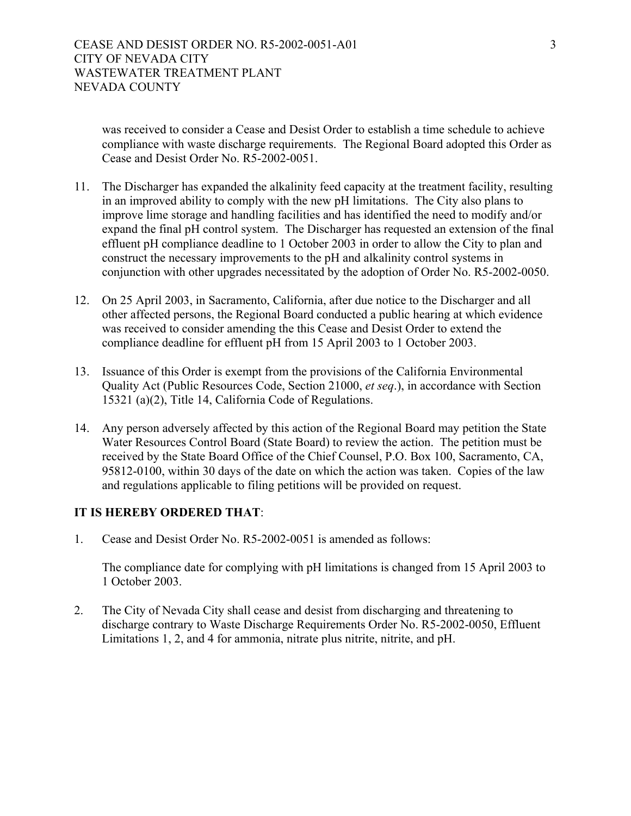was received to consider a Cease and Desist Order to establish a time schedule to achieve compliance with waste discharge requirements. The Regional Board adopted this Order as Cease and Desist Order No. R5-2002-0051.

- 11. The Discharger has expanded the alkalinity feed capacity at the treatment facility, resulting in an improved ability to comply with the new pH limitations. The City also plans to improve lime storage and handling facilities and has identified the need to modify and/or expand the final pH control system. The Discharger has requested an extension of the final effluent pH compliance deadline to 1 October 2003 in order to allow the City to plan and construct the necessary improvements to the pH and alkalinity control systems in conjunction with other upgrades necessitated by the adoption of Order No. R5-2002-0050.
- 12. On 25 April 2003, in Sacramento, California, after due notice to the Discharger and all other affected persons, the Regional Board conducted a public hearing at which evidence was received to consider amending the this Cease and Desist Order to extend the compliance deadline for effluent pH from 15 April 2003 to 1 October 2003.
- 13. Issuance of this Order is exempt from the provisions of the California Environmental Quality Act (Public Resources Code, Section 21000, *et seq*.), in accordance with Section 15321 (a)(2), Title 14, California Code of Regulations.
- 14. Any person adversely affected by this action of the Regional Board may petition the State Water Resources Control Board (State Board) to review the action. The petition must be received by the State Board Office of the Chief Counsel, P.O. Box 100, Sacramento, CA, 95812-0100, within 30 days of the date on which the action was taken. Copies of the law and regulations applicable to filing petitions will be provided on request.

## **IT IS HEREBY ORDERED THAT**:

1. Cease and Desist Order No. R5-2002-0051 is amended as follows:

The compliance date for complying with pH limitations is changed from 15 April 2003 to 1 October 2003.

2. The City of Nevada City shall cease and desist from discharging and threatening to discharge contrary to Waste Discharge Requirements Order No. R5-2002-0050, Effluent Limitations 1, 2, and 4 for ammonia, nitrate plus nitrite, nitrite, and pH.